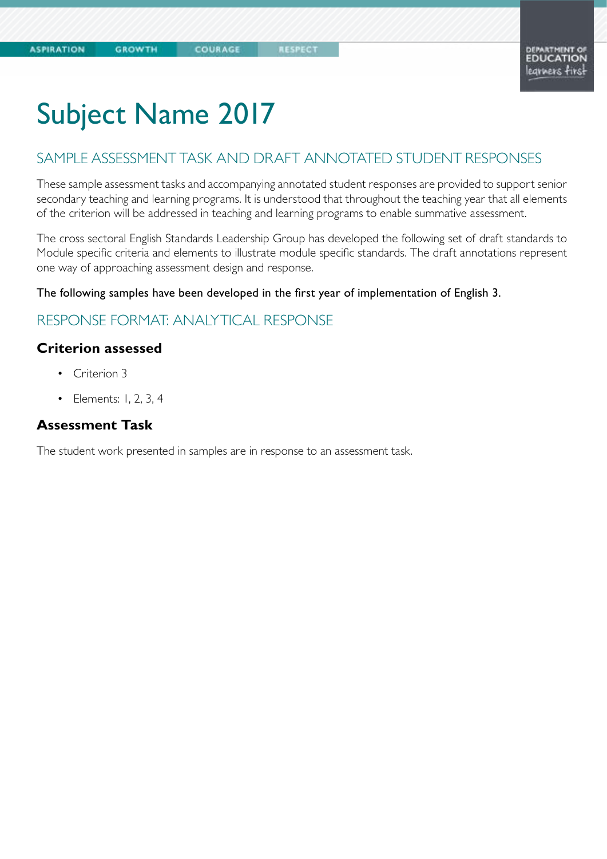COURAGE

# Subject Name 2017

### SAMPLE ASSESSMENT TASK AND DRAFT ANNOTATED STUDENT RESPONSES

These sample assessment tasks and accompanying annotated student responses are provided to support senior secondary teaching and learning programs. It is understood that throughout the teaching year that all elements of the criterion will be addressed in teaching and learning programs to enable summative assessment.

The cross sectoral English Standards Leadership Group has developed the following set of draft standards to Module specific criteria and elements to illustrate module specific standards. The draft annotations represent one way of approaching assessment design and response.

The following samples have been developed in the first year of implementation of English 3.

### RESPONSE FORMAT: ANALYTICAL RESPONSE

### **Criterion assessed**

- Criterion 3
- Elements: 1, 2, 3, 4

### **Assessment Task**

The student work presented in samples are in response to an assessment task.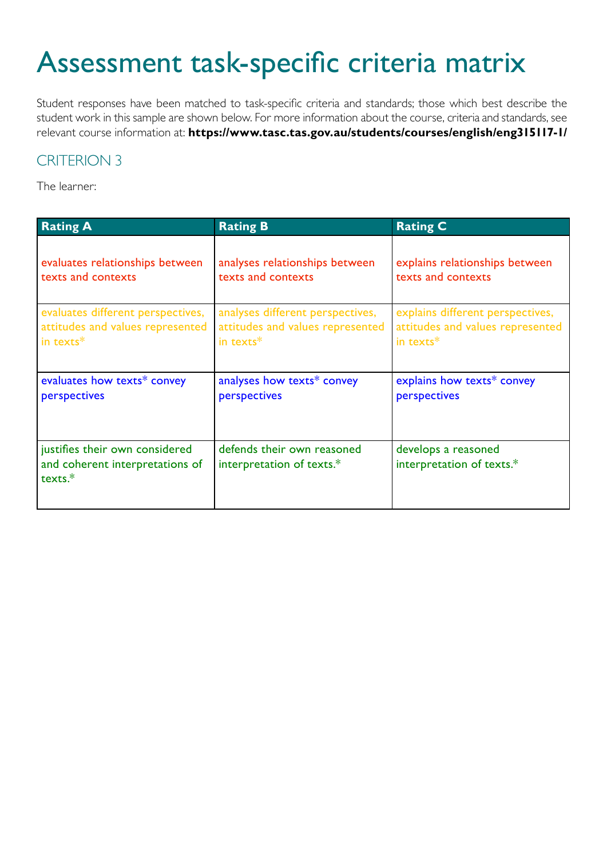# Assessment task-specific criteria matrix

Student responses have been matched to task-specific criteria and standards; those which best describe the student work in this sample are shown below. For more information about the course, criteria and standards, see relevant course information at: **https://www.tasc.tas.gov.au/students/courses/english/eng315117-1/**

### CRITERION 3

The learner:

| <b>Rating A</b>                                                              | <b>Rating B</b>                                         | <b>Rating C</b>                                  |
|------------------------------------------------------------------------------|---------------------------------------------------------|--------------------------------------------------|
| evaluates relationships between                                              | analyses relationships between                          | explains relationships between                   |
| texts and contexts                                                           | texts and contexts                                      | texts and contexts                               |
| evaluates different perspectives,                                            | analyses different perspectives,                        | explains different perspectives,                 |
| attitudes and values represented                                             | attitudes and values represented                        | attitudes and values represented                 |
| in texts*                                                                    | in texts*                                               | in texts*                                        |
| evaluates how texts* convey                                                  | analyses how texts* convey                              | explains how texts* convey                       |
| perspectives                                                                 | perspectives                                            | perspectives                                     |
| justifies their own considered<br>and coherent interpretations of<br>texts.* | defends their own reasoned<br>interpretation of texts.* | develops a reasoned<br>interpretation of texts.* |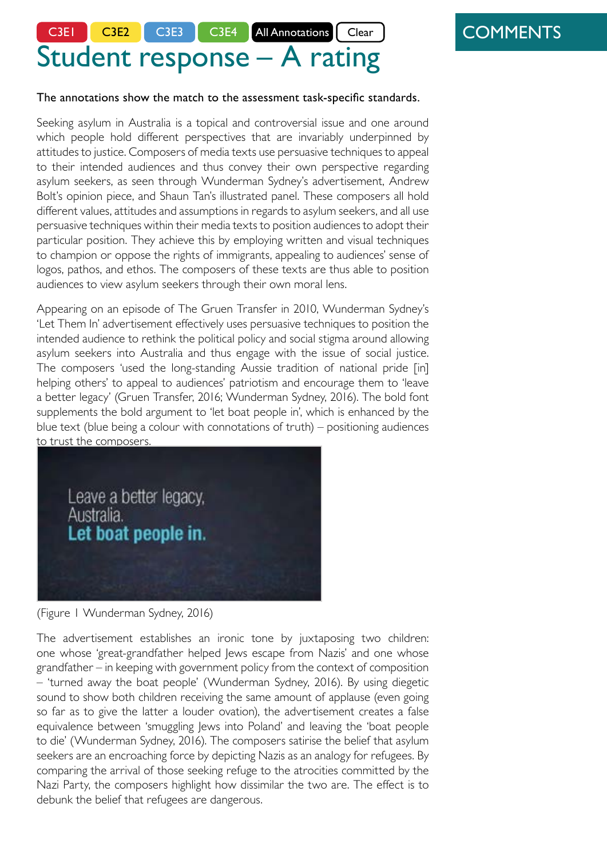# Student response – A rating C3E1 C3E2 C3E3 C3E4 All Annotations Clear

## **COMMENTS**

The annotations show the match to the assessment task-specific standards.

Seeking asylum in Australia is a topical and controversial issue and one around which people hold different perspectives that are invariably underpinned by attitudes to justice. Composers of media texts use persuasive techniques to appeal to their intended audiences and thus convey their own perspective regarding asylum seekers, as seen through Wunderman Sydney's advertisement, Andrew Bolt's opinion piece, and Shaun Tan's illustrated panel. These composers all hold different values, attitudes and assumptions in regards to asylum seekers, and all use persuasive techniques within their media texts to position audiences to adopt their particular position. They achieve this by employing written and visual techniques to champion or oppose the rights of immigrants, appealing to audiences' sense of logos, pathos, and ethos. The composers of these texts are thus able to position audiences to view asylum seekers through their own moral lens.

Appearing on an episode of The Gruen Transfer in 2010, Wunderman Sydney's 'Let Them In' advertisement effectively uses persuasive techniques to position the intended audience to rethink the political policy and social stigma around allowing asylum seekers into Australia and thus engage with the issue of social justice. The composers 'used the long-standing Aussie tradition of national pride [in] helping others' to appeal to audiences' patriotism and encourage them to 'leave a better legacy' (Gruen Transfer, 2016; Wunderman Sydney, 2016). The bold font supplements the bold argument to 'let boat people in', which is enhanced by the. blue text (blue being a colour with connotations of truth) – positioning audiences to trust the composers.

C.3 E.1: In the opening sentence, the student connects context (Australia), topic (asylum seekers) and the perspective (justice).

C.3 E.2: The topic of asylum seekers will be viewed through three different perspectives.

C.3 E.3: The students outlines the organising principle of persuasion, which is elaborated through

C.3 E.2: Values are significant in influencing the student's interpretation in the conclusion.

C.3 E.3 is addressed repeatedly throughout the essay through interpreting the meaning and analysing the impact of specific textual elements followed by explicitly articulating the audience response.

(Figure 1 Wunderman Sydney, 2016)

Leave a better legacy,

Let boat people in.

Australia.

The advertisement establishes an ironic tone by juxtaposing two children: one whose 'great-grandfather helped Jews escape from Nazis' and one whose grandfather – in keeping with government policy from the context of composition 'turned away the boat people' (Wunderman Sydney, 2016). By using diegetic sound to show both children receiving the same amount of applause (even going so far as to give the latter a louder ovation), the advertisement creates a false equivalence between 'smuggling Jews into Poland' and leaving the 'boat people to die' (Wunderman Sydney, 2016). The composers satirise the belief that asylum seekers are an encroaching force by depicting Nazis as an analogy for refugees. By comparing the arrival of those seeking refuge to the atrocities committed by the Nazi Party, the composers highlight how dissimilar the two are. The effect is to debunk the belief that refugees are dangerous.

C.3 E.1: Comparing contexts within and without the text enables a complex interpretation by considering how multiple perspectives interact.

C.3 E.3 Combining evaluation and logic in the same sentence is fluent and sophisticated.

C.3 E.3: Vocabulary is judiciously the perspective is represented, as well as appraising the attitudes and values underpinning the perspective.

after considering context and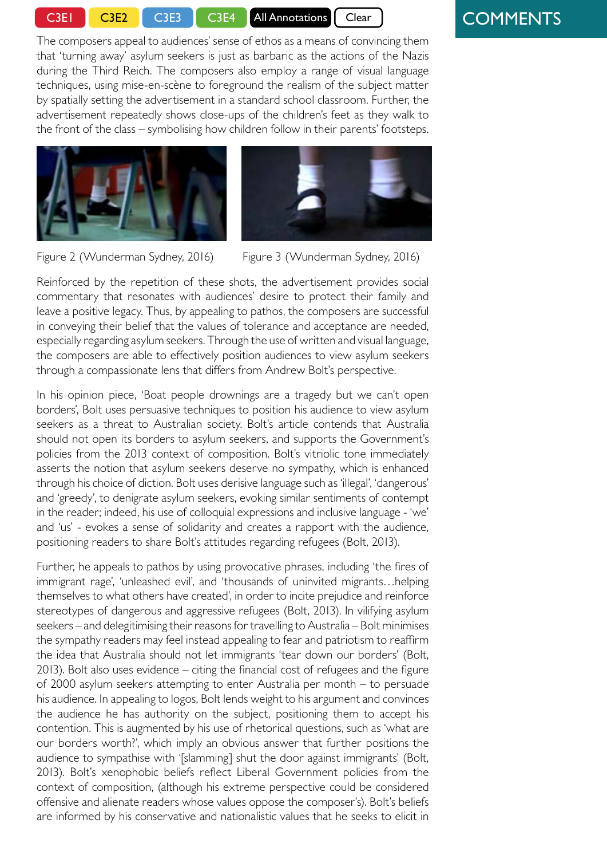C3E1 C3E2 C3E3 C3E4 All Annotations Clear

### **COMMENTS**

The composers appeal to audiences' sense of ethos as a means of convincing them that 'turning away' asylum seekers is just as barbaric as the actions of the Nazis during the Third Reich. The composers also employ a range of visual language techniques, using mise-en-scène to foreground the realism of the subject matter by spatially setting the advertisement in a standard school classroom. Further, the advertisement repeatedly shows close-ups of the children's feet as they walk to the front of the class – symbolising how children follow in their parents' footsteps.





Figure 2 (Wunderman Sydney, 2016) Figure 3 (Wunderman Sydney, 2016)

Reinforced by the repetition of these shots, the advertisement provides social commentary that resonates with audiences' desire to protect their family and leave a positive legacy. Thus, by appealing to pathos, the composers are successful in conveying their belief that the values of tolerance and acceptance are needed, especially regarding asylum seekers. Through the use of written and visual language, the composers are able to effectively position audiences to view asylum seekers through a compassionate lens that differs from Andrew Bolt's perspective.

In his opinion piece, 'Boat people drownings are a tragedy but we can't open borders', Bolt uses persuasive techniques to position his audience to view asylum. seekers as a threat to Australian society. Bolt's article contends that Australia should not open its borders to asylum seekers, and supports the Government's policies from the 2013 context of composition. Bolt's vitriolic tone immediately asserts the notion that asylum seekers deserve no sympathy, which is enhanced through his choice of diction. Bolt uses derisive language such as 'illegal', 'dangerous' and 'greedy', to denigrate asylum seekers, evoking similar sentiments of contempt in the reader; indeed, his use of colloquial expressions and inclusive language - 'we' and 'us' - evokes a sense of solidarity and creates a rapport with the audience, positioning readers to share Bolt's attitudes regarding refugees (Bolt, 2013).

Further, he appeals to pathos by using provocative phrases, including 'the fires of immigrant rage', 'unleashed evil', and 'thousands of uninvited migrants…helping themselves to what others have created', in order to incite prejudice and reinforce stereotypes of dangerous and aggressive refugees (Bolt, 2013). In vilifying asylum seekers – and delegitimising their reasons for travelling to Australia – Bolt minimises the sympathy readers may feel instead appealing to fear and patriotism to reaffirm the idea that Australia should not let immigrants 'tear down our borders' (Bolt, 2013). Bolt also uses evidence - citing the financial cost of refugees and the figure of 2000 asylum seekers attempting to enter Australia per month – to persuade his audience. In appealing to logos, Bolt lends weight to his argument and convinces the audience he has authority on the subject, positioning them to accept his contention. This is augmented by his use of rhetorical questions, such as 'what are our borders worth?', which imply an obvious answer that further positions the audience to sympathise with '[slamming] shut the door against immigrants' (Bolt, 2013). Bolt's xenophobic beliefs reflect Liberal Government policies from the context of composition, (although his extreme perspective could be considered offensive and alienate readers whose values oppose the composer's). Bolt's beliefs are informed by his conservative and nationalistic values that he seeks to elicit in

C.3 E.2, 3, 4: Concluding statements skilfully combine analysis of how particular textual elements convey perspectives, evaluation of attitudes and values within the text and a considered interpretation of how the text invites audiences to view asylum seekers.

C.3 E.2: Contrasting perspective, which is explained in three different ways by the student.

C.3 E.2, 3: Judicious selection of vocabulary anticipates the conclusion by indicating the student's negative evaluation of Bolt's perspective in combination with analysis of Bolt's rhetorical technique.

C.3 E.1: Consideration of the context of composition informs the student's evaluation of the perspective in Bolt's piece.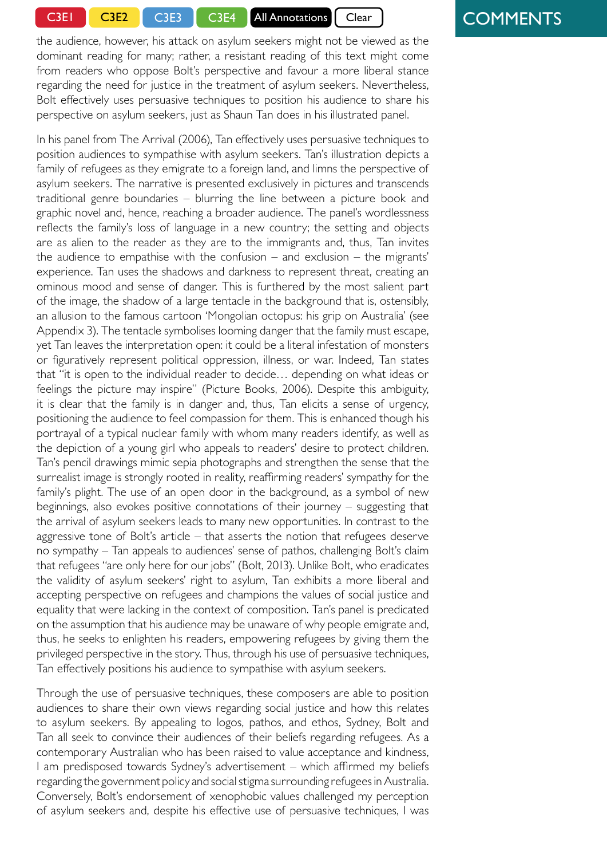C3E1 C3E2 C3E3 C3E4 All Annotations Clear

the audience, however, his attack on asylum seekers might not be viewed as the dominant reading for many; rather, a resistant reading of this text might come from readers who oppose Bolt's perspective and favour a more liberal stance regarding the need for justice in the treatment of asylum seekers. Nevertheless, Bolt effectively uses persuasive techniques to position his audience to share his perspective on asylum seekers, just as Shaun Tan does in his illustrated panel.

In his panel from The Arrival (2006), Tan effectively uses persuasive techniques to position audiences to sympathise with asylum seekers. Tan's illustration depicts a family of refugees as they emigrate to a foreign land, and limns the perspective of asylum seekers. The narrative is presented exclusively in pictures and transcends traditional genre boundaries – blurring the line between a picture book and graphic novel and, hence, reaching a broader audience. The panel's wordlessness reflects the family's loss of language in a new country; the setting and objects are as alien to the reader as they are to the immigrants and, thus, Tan invites the audience to empathise with the confusion – and exclusion – the migrants' experience. Tan uses the shadows and darkness to represent threat, creating an ominous mood and sense of danger. This is furthered by the most salient part of the image, the shadow of a large tentacle in the background that is, ostensibly, an allusion to the famous cartoon 'Mongolian octopus: his grip on Australia' (see Appendix 3). The tentacle symbolises looming danger that the family must escape, yet Tan leaves the interpretation open: it could be a literal infestation of monsters or figuratively represent political oppression, illness, or war Indeed, Tan states that "it is open to the individual reader to decide… depending on what ideas or feelings the picture may inspire" (Picture Books, 2006). Despite this ambiguity, it is clear that the family is in danger and, thus, Tan elicits a sense of urgency, positioning the audience to feel compassion for them. This is enhanced though his portrayal of a typical nuclear family with whom many readers identify, as well as the depiction of a young girl who appeals to readers' desire to protect children. Tan's pencil drawings mimic sepia photographs and strengthen the sense that the surrealist image is strongly rooted in reality, reaffirming readers' sympathy for the family's plight. The use of an open door in the background, as a symbol of new beginnings, also evokes positive connotations of their journey – suggesting that the arrival of asylum seekers leads to many new opportunities. In contrast to the aggressive tone of Bolt's article – that asserts the notion that refugees deserve no sympathy – Tan appeals to audiences' sense of pathos, challenging Bolt's claim that refugees "are only here for our jobs" (Bolt, 2013). Unlike Bolt, who eradig the validity of asylum seekers' right to asylum, Tan exhibits a more liberal an accepting perspective on refugees and champions the values of social justice a equality that were lacking in the context of composition. Tan's panel is predicated on the assumption that his audience may be unaware of why people emigrate and, thus, he seeks to enlighten his readers, empowering refugees by giving them the privileged perspective in the story. Thus, through his use of persuasive techniques, Tan effectively positions his audience to sympathise with asylum seekers.

Through the use of persuasive techniques, these composers are able to position audiences to share their own views regarding social justice and how this relates to asylum seekers. By appealing to logos, pathos, and ethos, Sydney, Bolt and Tan all seek to convince their audiences of their beliefs regarding refugees. As a contemporary Australian who has been raised to value acceptance and kindness, I am predisposed towards Sydney's advertisement – which affirmed my beliefs regarding the government policy and social stigma surrounding refugees in Australia. Conversely, Bolt's endorsement of xenophobic values challenged my perception of asylum seekers and, despite his effective use of persuasive techniques, I was

## **COMMENTS**

C.3 E.2: Consideration of different interpretations of Bolt's perspective on asylum seekers enables a complex response and anticipates the student's evaluation in the conclusion.

C.3 E.1: Sophisticated reference to a potential textual allusion appropriately expressed in the language of supposition.

C.3 E.4: Consideration of multiple interpretations.

Evaluative comparison builds towards the conclusion.

C.3 E.1: Sophisticated connection to the context of composition by considering the reason why Tan's audience might not adhere to the values privileged in his text.

Selection of verbs evaluate Tan's perspective and anticipate the conclusion.

C.3 E.4: The entire conclusion is a justification of how the student techniques, as well as considered the values embedded in the texts in order to interpret meaning and accept or reject the perspective on justice in

Values are clearly and specifically identified.

The choice of verbs evaluates the impact of the text in terms of the student's own values and articulates the reasoning underpinning the interpretations of social justice in relation to refugees.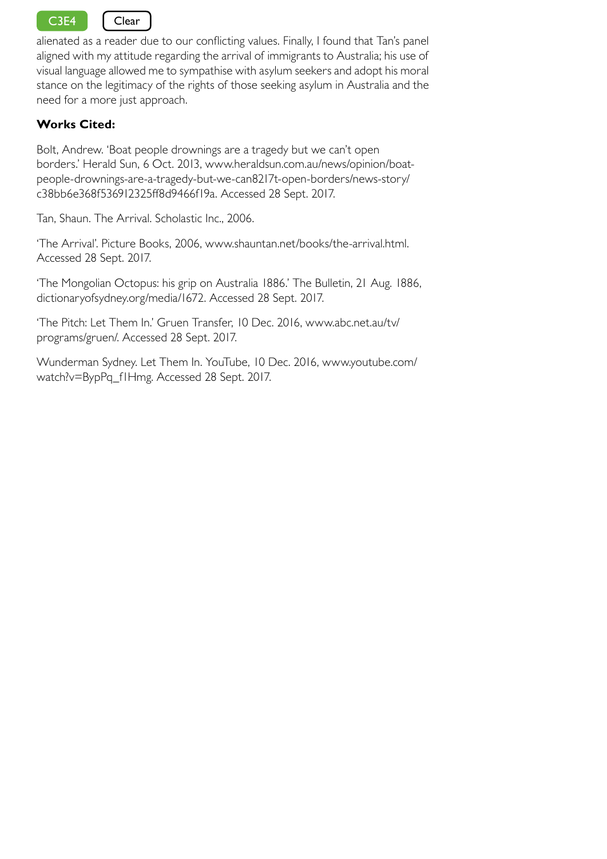C3E4 | Clear

alienated as a reader due to our conflicting values. Finally, I found that Tan's panel aligned with my attitude regarding the arrival of immigrants to Australia; his use of visual language allowed me to sympathise with asylum seekers and adopt his moral stance on the legitimacy of the rights of those seeking asylum in Australia and the need for a more just approach.

### **Works Cited:**

Bolt, Andrew. 'Boat people drownings are a tragedy but we can't open borders.' Herald Sun, 6 Oct. 2013, www.heraldsun.com.au/news/opinion/boatpeople-drownings-are-a-tragedy-but-we-can8217t-open-borders/news-story/ c38bb6e368f536912325ff8d9466f19a. Accessed 28 Sept. 2017.

Tan, Shaun. The Arrival. Scholastic Inc., 2006.

'The Arrival'. Picture Books, 2006, www.shauntan.net/books/the-arrival.html. Accessed 28 Sept. 2017.

'The Mongolian Octopus: his grip on Australia 1886.' The Bulletin, 21 Aug. 1886, dictionaryofsydney.org/media/1672. Accessed 28 Sept. 2017.

'The Pitch: Let Them In.' Gruen Transfer, 10 Dec. 2016, www.abc.net.au/tv/ programs/gruen/. Accessed 28 Sept. 2017.

Wunderman Sydney. Let Them In. YouTube, 10 Dec. 2016, www.youtube.com/ watch?v=BypPq\_f1Hmg. Accessed 28 Sept. 2017.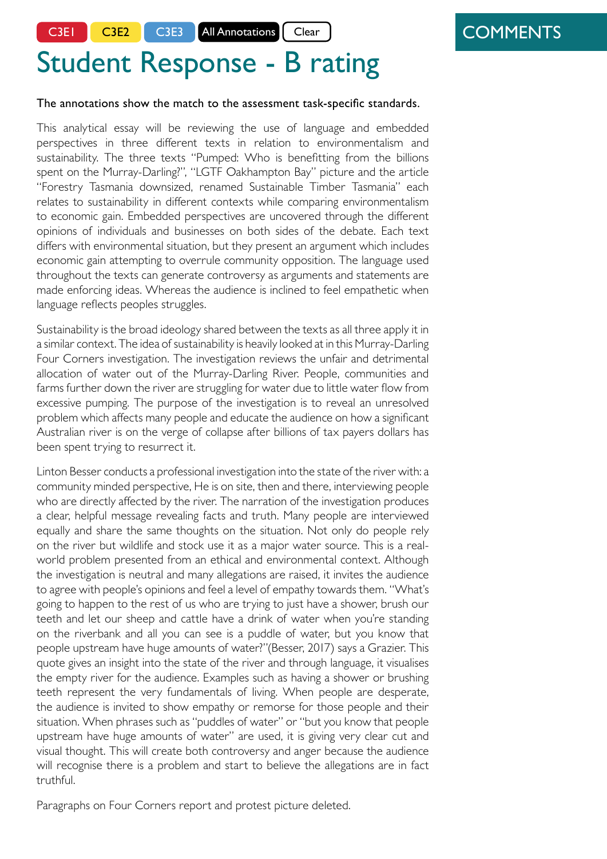C3E1 | C3E2 | C3E3 | All Annotations | Clear

# **COMMENTS**

# Student Response - B rating

#### The annotations show the match to the assessment task-specific standards.

This analytical essay will be reviewing the use of language and embedded perspectives in three different texts in relation to environmentalism and sustainability. The three texts "Pumped: Who is benefitting from the billions spent on the Murray-Darling?", "LGTF Oakhampton Bay" picture and the article "Forestry Tasmania downsized, renamed Sustainable Timber Tasmania" each relates to sustainability in different contexts while comparing environmentalism to economic gain. Embedded perspectives are uncovered through the different opinions of individuals and businesses on both sides of the debate. Each text differs with environmental situation, but they present an argument which includes economic gain attempting to overrule community opposition. The language used throughout the texts can generate controversy as arguments and statements are made enforcing ideas. Whereas the audience is inclined to feel empathetic when language reflects peoples struggles.

Sustainability is the broad ideology shared between the texts as all three apply it in a similar context. The idea of sustainability is heavily looked at in this Murray-Darling Four Corners investigation. The investigation reviews the unfair and detrimental allocation of water out of the Murray-Darling River. People, communities and farms further down the river are struggling for water due to little water flow from excessive pumping. The purpose of the investigation is to reveal an unresolved problem which affects many people and educate the audience on how a significant Australian river is on the verge of collapse after billions of tax payers dollars has been spent trying to resurrect it.

Linton Besser conducts a professional investigation into the state of the river with: a community minded perspective, He is on site, then and there, interviewing people who are directly affected by the river. The narration of the investigation produces a clear, helpful message revealing facts and truth. Many people are interviewed equally and share the same thoughts on the situation. Not only do people rely on the river but wildlife and stock use it as a major water source. This is a realworld problem presented from an ethical and environmental context. Although the investigation is neutral and many allegations are raised, it invites the audience to agree with people's opinions and feel a level of empathy towards them. "What's going to happen to the rest of us who are trying to just have a shower, brush our teeth and let our sheep and cattle have a drink of water when you're standing on the riverbank and all you can see is a puddle of water, but you know that people upstream have huge amounts of water?"(Besser, 2017) says a Grazier. This quote gives an insight into the state of the river and through language, it visualises the empty river for the audience. Examples such as having a shower or brushing teeth represent the very fundamentals of living. When people are desperate, the audience is invited to show empathy or remorse for those people and their situation. When phrases such as "puddles of water" or "but you know that people upstream have huge amounts of water" are used, it is giving very clear cut and visual thought. This will create both controversy and anger because the audience will recognise there is a problem and start to believe the allegations are in fact truthful.

C.3 E.1 The basic context of place is identified in the title of each text. The socio-political context is clearly stated.

C.3 E.1, E.2 The introduction is analytical because it frames reporting on the debate through multiple environmental contexts

and individual points of view, as well as recognising the disposition of one perspective (economic) to dominate over the other (sustainability/environmentalism).

C.3 E.2, 3 Perspective and methodology are connected to an educative purpose.

#### C.3 E. 1, E.2, E.3, E.4 The

connection between context and perspective is analysed through the source and representation of opinions. The invited audience response is identified.

C.3 E.3 Analysis of the impact of particular examples of language in shaping the invited reading.

Paragraphs on Four Corners report and protest picture deleted.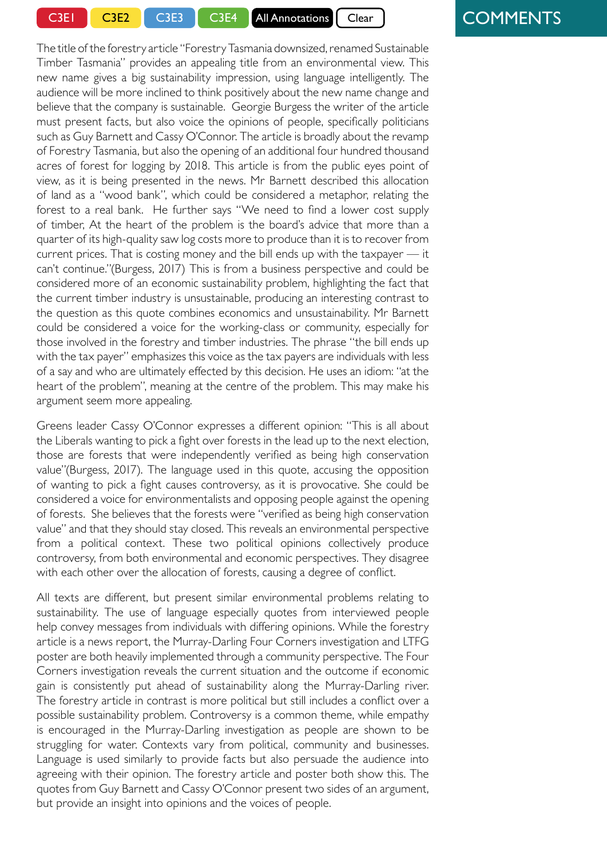C3E1 C3E2 C3E3 C3E4 All Annotations Clear

The title of the forestry article "Forestry Tasmania downsized, renamed Sustainable

Timber Tasmania" provides an appealing title from an environmental view. This new name gives a big sustainability impression, using language intelligently. The audience will be more inclined to think positively about the new name change and believe that the company is sustainable. Georgie Burgess the writer of the article must present facts, but also voice the opinions of people, specifically politicians such as Guy Barnett and Cassy O'Connor. The article is broadly about the revamp of Forestry Tasmania, but also the opening of an additional four hundred thousand acres of forest for logging by 2018. This article is from the public eyes point of view, as it is being presented in the news. Mr Barnett described this allocation of land as a "wood bank", which could be considered a metaphor, relating the forest to a real bank. He further says "We need to find a lower cost supply of timber, At the heart of the problem is the board's advice that more than a quarter of its high-quality saw log costs more to produce than it is to recover from current prices. That is costing money and the bill ends up with the taxpayer — it can't continue."(Burgess, 2017) This is from a business perspective and could be considered more of an economic sustainability problem, highlighting the fact that the current timber industry is unsustainable, producing an interesting contrast to the question as this quote combines economics and unsustainability. Mr Barnett, could be considered a voice for the working-class or community, especially for those involved in the forestry and timber industries. The phrase "the bill ends up with the tax payer" emphasizes this voice as the tax payers are individuals with less of a say and who are ultimately effected by this decision. He uses an idiom: "at the heart of the problem", meaning at the centre of the problem. This may make his argument seem more appealing.

Greens leader Cassy O'Connor expresses a different opinion: "This is all about the Liberals wanting to pick a fight over forests in the lead up to the next election, those are forests that were independently verified as being high conservation value"(Burgess, 2017). The language used in this quote, accusing the opposition of wanting to pick a fight causes controversy, as it is provocative. She could be considered a voice for environmentalists and opposing people against the opening of forests. She believes that the forests were "verified as being high conservation value" and that they should stay closed. This reveals an environmental perspective from a political context. These two political opinions collectively produce controversy, from both environmental and economic perspectives. They disagree with each other over the allocation of forests, causing a degree of conflict.

All texts are different, but present similar environmental problems relating to sustainability. The use of language especially quotes from interviewed people help convey messages from individuals with differing opinions. While the forestry article is a news report, the Murray-Darling Four Corners investigation and LTFG poster are both heavily implemented through a community perspective. The Four Corners investigation reveals the current situation and the outcome if economic gain is consistently put ahead of sustainability along the Murray-Darling river. The forestry article in contrast is more political but still includes a conflict over a possible sustainability problem. Controversy is a common theme, while empathy is encouraged in the Murray-Darling investigation as people are shown to be struggling for water. Contexts vary from political, community and businesses. Language is used similarly to provide facts but also persuade the audience into agreeing with their opinion. The forestry article and poster both show this. The quotes from Guy Barnett and Cassy O'Connor present two sides of an argument, but provide an insight into opinions and the voices of people.

# **COMMENTS**

C.3 E.3 Analysis of how language in the title shapes audience response. This paragraph focuses on analysing how the perspectives are reported.

C.3 E.1, E.2 Connection between perspective and context of reception.

C.3 E.3 Explanation of a rhetorical device.

C.3 E.2 Consideration of a different perspective to sustainability and analysis of the appeal of language. Analysis of different perspectives and synthesis of these results in evaluation.

C.3 E2 The perspective is connected with context.

power of language

C.3 E.4 Interpretation of how the two perspectives conflict within

C.3 E.2. Summation of the three texts privileges "a community perspective" and connects with the persuasive power of "empathy".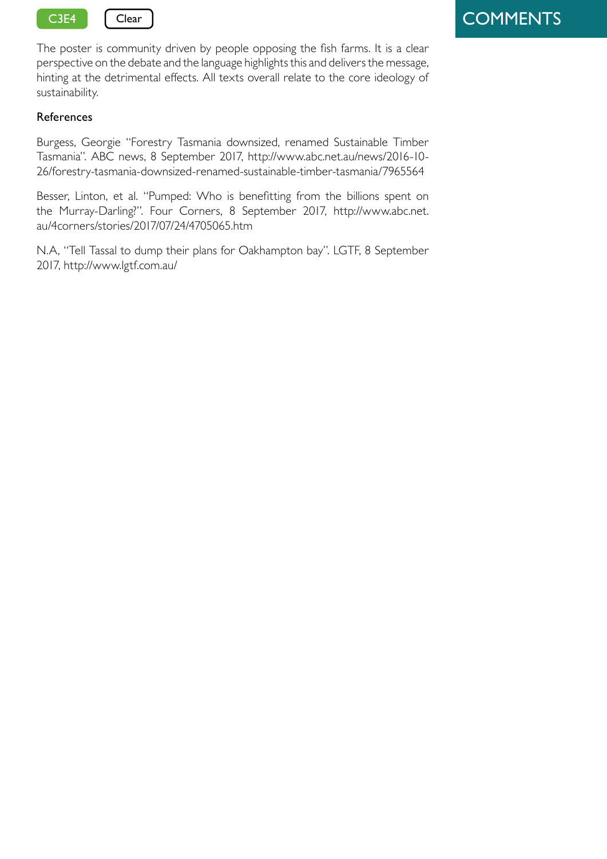

The poster is community driven by people opposing the fish farms. It is a clear perspective on the debate and the language highlights this and delivers the message, hinting at the detrimental effects. All texts overall relate to the core ideology of sustainability.

### References

Burgess, Georgie "Forestry Tasmania downsized, renamed Sustainable Timber Tasmania". ABC news, 8 September 2017, http://www.abc.net.au/news/2016-10- 26/forestry-tasmania-downsized-renamed-sustainable-timber-tasmania/7965564

Besser, Linton, et al. "Pumped: Who is benefitting from the billions spent on the Murray-Darling?". Four Corners, 8 September 2017, http://www.abc.net. au/4corners/stories/2017/07/24/4705065.htm

N.A, "Tell Tassal to dump their plans for Oakhampton bay". LGTF, 8 September 2017, http://www.lgtf.com.au/

# **COMMENTS**

C.3 E.4 - Student's generalized perspective lacks a specific contention; although, use of the phrase "hinting at the detrimental effects" and emphasising "the voices of the people" privilege a sustainability perspective over an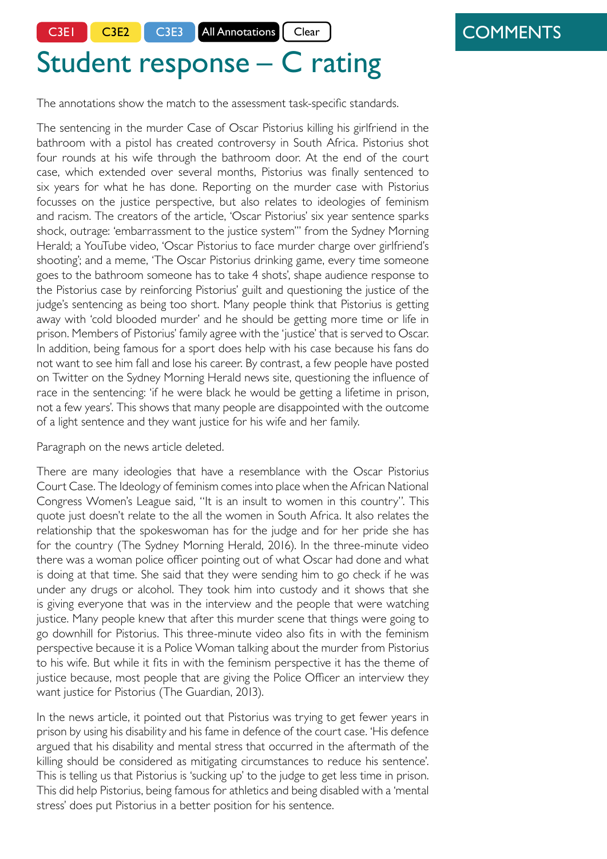C3E1 | C3E2 | C3E3 | All Annotations | Clear

### **COMMENTS**

# Student response – C rating

The annotations show the match to the assessment task-specific standards.

The sentencing in the murder Case of Oscar Pistorius killing his girlfriend in the bathroom with a pistol has created controversy in South Africa. Pistorius shot four rounds at his wife through the bathroom door. At the end of the court case, which extended over several months, Pistorius was finally sentenced to six years for what he has done. Reporting on the murder case with Pistorius focusses on the justice perspective, but also relates to ideologies of feminism and racism. The creators of the article, 'Oscar Pistorius' six year sentence sparks shock, outrage: 'embarrassment to the justice system''' from the Sydney Morning Herald; a YouTube video, 'Oscar Pistorius to face murder charge over girlfriend's shooting'; and a meme, 'The Oscar Pistorius drinking game, every time someone goes to the bathroom someone has to take 4 shots', shape audience response to the Pistorius case by reinforcing Pistorius' guilt and questioning the justice of the judge's sentencing as being too short. Many people think that Pistorius is getting away with 'cold blooded murder' and he should be getting more time or life in prison. Members of Pistorius' family agree with the 'justice' that is served to Oscar. In addition, being famous for a sport does help with his case because his fans do not want to see him fall and lose his career. By contrast, a few people have posted on Twitter on the Sydney Morning Herald news site, questioning the influence of race in the sentencing: 'if he were black he would be getting a lifetime in prison, not a few years'. This shows that many people are disappointed with the outcome of a light sentence and they want justice for his wife and her family.

Paragraph on the news article deleted.

There are many ideologies that have a resemblance with the Oscar Pistorius Court Case. The Ideology of feminism comes into place when the African National Congress Women's League said, "It is an insult to women in this country". This quote just doesn't relate to the all the women in South Africa. It also relates the relationship that the spokeswoman has for the judge and for her pride she has for the country (The Sydney Morning Herald, 2016). In the three-minute video there was a woman police officer pointing out of what Oscar had done and what is doing at that time. She said that they were sending him to go check if he was under any drugs or alcohol. They took him into custody and it shows that she is giving everyone that was in the interview and the people that were watching justice. Many people knew that after this murder scene that things were going to go downhill for Pistorius. This three-minute video also fits in with the feminism perspective because it is a Police Woman talking about the murder from Pistorius to his wife. But while it fits in with the feminism perspective it has the theme of justice because, most people that are giving the Police Officer an interview they want justice for Pistorius (The Guardian, 2013).

In the news article, it pointed out that Pistorius was trying to get fewer years in prison by using his disability and his fame in defence of the court case. 'His defence argued that his disability and mental stress that occurred in the aftermath of the killing should be considered as mitigating circumstances to reduce his sentence'. This is telling us that Pistorius is 'sucking up' to the judge to get less time in prison. This did help Pistorius, being famous for athletics and being disabled with a 'mental stress' does put Pistorius in a better position for his sentence.

C.3 E.1 The introduction begins by establishing context in a basic way by referring to the country in which the events take place and are reported.

C.3 E.2 The embedded perspective is named and other potential perspectives are identified.

C.3 E.2, E.4 Once the

perspectives are nominated, the introduction alternates between explanation of how the perspectives are represented in the reporting and the student's interpretation of the texts.

C.3 E.2 The first body paragraph connects gender: judge, the spokeswoman, police woman and the victim with different interpretations of justice and the context of activism in South Africa. The student explains that there are other female voices calling for justice in addition to the judge's sentencing. The student indicates the dominant reading by referring to "most people".